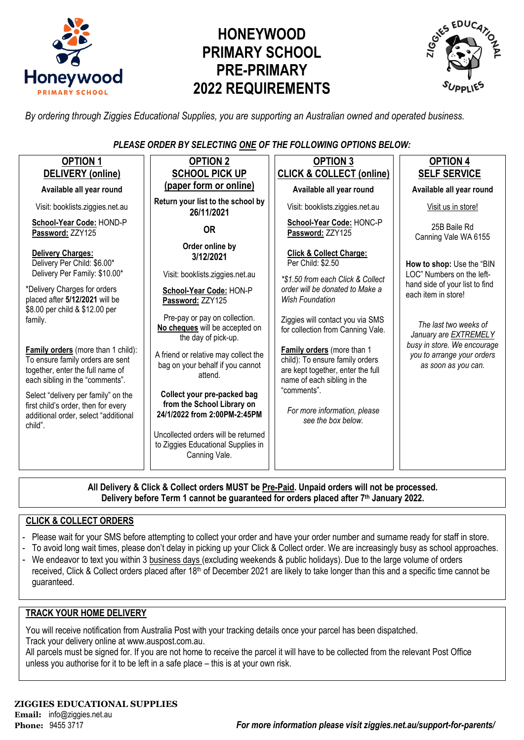

# **HONEYWOOD PRIMARY SCHOOL PRE-PRIMARY 2022 REQUIREMENTS**



*By ordering through Ziggies Educational Supplies, you are supporting an Australian owned and operated business.*

*PLEASE ORDER BY SELECTING ONE OF THE FOLLOWING OPTIONS BELOW:*

| <b>OPTION 1</b>                                                                                                                               | <b>OPTION 2</b>                                                                                                                  | <b>OPTION 3</b>                                                                                                                   | <b>OPTION 4</b>                                                                  |  |  |
|-----------------------------------------------------------------------------------------------------------------------------------------------|----------------------------------------------------------------------------------------------------------------------------------|-----------------------------------------------------------------------------------------------------------------------------------|----------------------------------------------------------------------------------|--|--|
| <b>DELIVERY</b> (online)                                                                                                                      | <b>SCHOOL PICK UP</b>                                                                                                            | <b>CLICK &amp; COLLECT (online)</b>                                                                                               | <b>SELF SERVICE</b>                                                              |  |  |
| Available all year round                                                                                                                      | (paper form or online)                                                                                                           | Available all year round                                                                                                          | Available all year round                                                         |  |  |
| Visit: booklists.ziggies.net.au                                                                                                               | Return your list to the school by<br>26/11/2021                                                                                  | Visit: booklists.ziggies.net.au                                                                                                   | Visit us in store!                                                               |  |  |
| School-Year Code: HOND-P<br>Password: ZZY125                                                                                                  | <b>OR</b>                                                                                                                        | School-Year Code: HONC-P<br>Password: ZZY125                                                                                      | 25B Baile Rd<br>Canning Vale WA 6155                                             |  |  |
| <b>Delivery Charges:</b><br>Delivery Per Child: \$6.00*<br>Delivery Per Family: \$10.00*                                                      | Order online by<br>3/12/2021<br>Visit: booklists.ziggies.net.au                                                                  | <b>Click &amp; Collect Charge:</b><br>Per Child: \$2.50                                                                           | How to shop: Use the "BIN<br>LOC" Numbers on the left-                           |  |  |
| *Delivery Charges for orders<br>placed after 5/12/2021 will be<br>\$8.00 per child & \$12.00 per                                              | School-Year Code: HON-P<br>Password: ZZY125                                                                                      | *\$1.50 from each Click & Collect<br>order will be donated to Make a<br>Wish Foundation                                           | hand side of your list to find<br>each item in store!                            |  |  |
| family.                                                                                                                                       | Pre-pay or pay on collection.<br>No cheques will be accepted on<br>the day of pick-up.                                           | Ziggies will contact you via SMS<br>for collection from Canning Vale.                                                             | The last two weeks of<br>January are EXTREMELY                                   |  |  |
| Family orders (more than 1 child):<br>To ensure family orders are sent<br>together, enter the full name of<br>each sibling in the "comments". | A friend or relative may collect the<br>bag on your behalf if you cannot<br>attend.                                              | Family orders (more than 1<br>child): To ensure family orders<br>are kept together, enter the full<br>name of each sibling in the | busy in store. We encourage<br>you to arrange your orders<br>as soon as you can. |  |  |
| Select "delivery per family" on the<br>first child's order, then for every<br>additional order, select "additional<br>child".                 | Collect your pre-packed bag<br>from the School Library on<br>24/1/2022 from 2:00PM-2:45PM<br>Uncollected orders will be returned | "comments".<br>For more information, please<br>see the box below.                                                                 |                                                                                  |  |  |
|                                                                                                                                               | to Ziggies Educational Supplies in<br>Canning Vale.                                                                              |                                                                                                                                   |                                                                                  |  |  |

**All Delivery & Click & Collect orders MUST be Pre-Paid. Unpaid orders will not be processed. Delivery before Term 1 cannot be guaranteed for orders placed after 7th January 2022.**

### **CLICK & COLLECT ORDERS**

- Please wait for your SMS before attempting to collect your order and have your order number and surname ready for staff in store.
- To avoid long wait times, please don't delay in picking up your Click & Collect order. We are increasingly busy as school approaches.
- We endeavor to text you within 3 business days (excluding weekends & public holidays). Due to the large volume of orders received, Click & Collect orders placed after 18<sup>th</sup> of December 2021 are likely to take longer than this and a specific time cannot be guaranteed.

### **TRACK YOUR HOME DELIVERY**

You will receive notification from Australia Post with your tracking details once your parcel has been dispatched. Track your delivery online a[t www.auspost.com.au.](http://www.auspost.com.au/)

All parcels must be signed for. If you are not home to receive the parcel it will have to be collected from the relevant Post Office unless you authorise for it to be left in a safe place – this is at your own risk.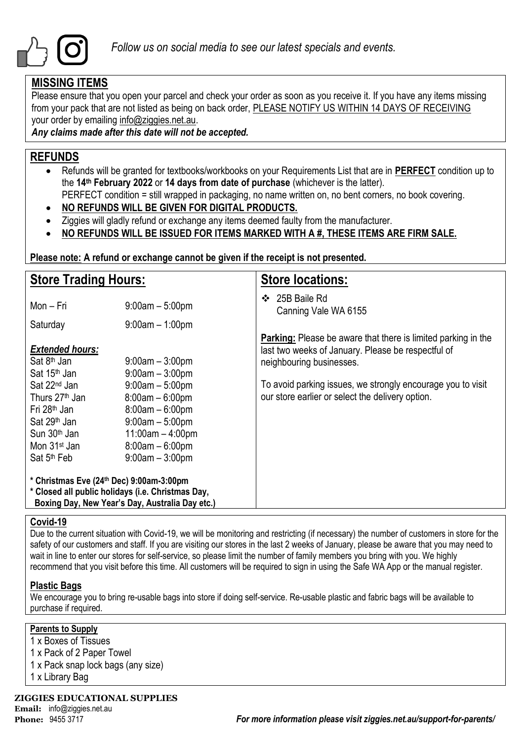

### **MISSING ITEMS**

Please ensure that you open your parcel and check your order as soon as you receive it. If you have any items missing from your pack that are not listed as being on back order, PLEASE NOTIFY US WITHIN 14 DAYS OF RECEIVING your order by emailing info@ziggies.net.au.

*Any claims made after this date will not be accepted.*

### **REFUNDS**

- Refunds will be granted for textbooks/workbooks on your Requirements List that are in **PERFECT** condition up to the **14th February 2022** or **14 days from date of purchase** (whichever is the latter).
	- PERFECT condition = still wrapped in packaging, no name written on, no bent corners, no book covering.
- **NO REFUNDS WILL BE GIVEN FOR DIGITAL PRODUCTS.**
- Ziggies will gladly refund or exchange any items deemed faulty from the manufacturer.
- **NO REFUNDS WILL BE ISSUED FOR ITEMS MARKED WITH A #, THESE ITEMS ARE FIRM SALE.**

**Please note: A refund or exchange cannot be given if the receipt is not presented.**

| <b>Store Trading Hours:</b>                                                                                                                                                                       |                                                                                                                                                  | <b>Store locations:</b>                                                                                                                                |  |  |
|---------------------------------------------------------------------------------------------------------------------------------------------------------------------------------------------------|--------------------------------------------------------------------------------------------------------------------------------------------------|--------------------------------------------------------------------------------------------------------------------------------------------------------|--|--|
| Mon – Fri                                                                                                                                                                                         | $9:00am - 5:00pm$                                                                                                                                | 25B Baile Rd<br>❖<br>Canning Vale WA 6155                                                                                                              |  |  |
| Saturday                                                                                                                                                                                          | $9:00$ am $-1:00$ pm                                                                                                                             |                                                                                                                                                        |  |  |
| <b>Extended hours:</b><br>Sat 8 <sup>th</sup> Jan<br>Sat 15 <sup>th</sup> Jan                                                                                                                     | $9:00$ am $-3:00$ pm<br>$9:00am - 3:00pm$                                                                                                        | <b>Parking:</b> Please be aware that there is limited parking in the<br>last two weeks of January. Please be respectful of<br>neighbouring businesses. |  |  |
| Sat 22 <sup>nd</sup> Jan<br>Thurs 27 <sup>th</sup> Jan<br>Fri 28 <sup>th</sup> Jan<br>Sat 29 <sup>th</sup> Jan<br>Sun 30 <sup>th</sup> Jan<br>Mon 31 <sup>st</sup> Jan<br>Sat 5 <sup>th</sup> Feb | $9:00am - 5:00pm$<br>$8:00am - 6:00pm$<br>$8:00am - 6:00pm$<br>$9:00am - 5:00pm$<br>$11:00am - 4:00pm$<br>$8:00am - 6:00pm$<br>$9:00am - 3:00pm$ | To avoid parking issues, we strongly encourage you to visit<br>our store earlier or select the delivery option.                                        |  |  |
| * Christmas Eve (24th Dec) 9:00am-3:00pm<br>* Closed all public holidays (i.e. Christmas Day,<br>Boxing Day, New Year's Day, Australia Day etc.)                                                  |                                                                                                                                                  |                                                                                                                                                        |  |  |

### **Covid-19**

Due to the current situation with Covid-19, we will be monitoring and restricting (if necessary) the number of customers in store for the safety of our customers and staff. If you are visiting our stores in the last 2 weeks of January, please be aware that you may need to wait in line to enter our stores for self-service, so please limit the number of family members you bring with you. We highly recommend that you visit before this time. All customers will be required to sign in using the Safe WA App or the manual register.

### **Plastic Bags**

We encourage you to bring re-usable bags into store if doing self-service. Re-usable plastic and fabric bags will be available to purchase if required.

### **Parents to Supply**

- 1 x Boxes of Tissues
- 1 x Pack of 2 Paper Towel
- 1 x Pack snap lock bags (any size)
- 1 x Library Bag

**ZIGGIES EDUCATIONAL SUPPLIES**

**Email:** info@ziggies.net.au

**Phone:** 9455 3717 *For more information please visit ziggies.net.au/support-for-parents/*